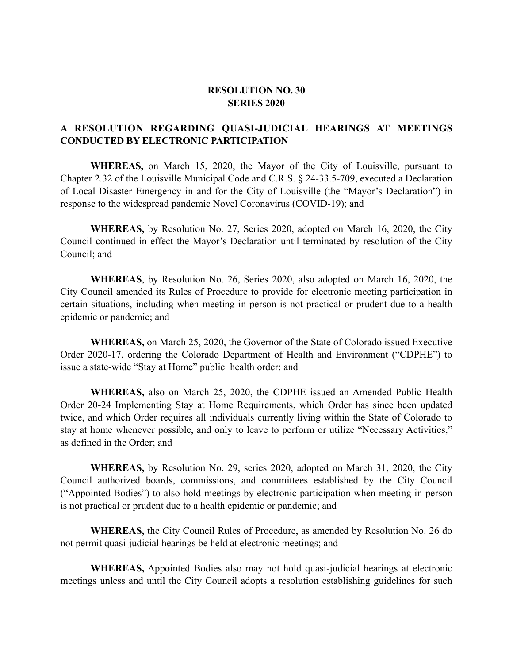## **RESOLUTION NO. 30 SERIES 2020**

## **A RESOLUTION REGARDING QUASI-JUDICIAL HEARINGS AT MEETINGS CONDUCTED BY ELECTRONIC PARTICIPATION**

**WHEREAS,** on March 15, 2020, the Mayor of the City of Louisville, pursuant to Chapter 2.32 of the Louisville Municipal Code and C.R.S. § 24-33.5-709, executed a Declaration of Local Disaster Emergency in and for the City of Louisville (the "Mayor's Declaration") in response to the widespread pandemic Novel Coronavirus (COVID-19); and

**WHEREAS,** by Resolution No. 27, Series 2020, adopted on March 16, 2020, the City Council continued in effect the Mayor's Declaration until terminated by resolution of the City Council; and

**WHEREAS**, by Resolution No. 26, Series 2020, also adopted on March 16, 2020, the City Council amended its Rules of Procedure to provide for electronic meeting participation in certain situations, including when meeting in person is not practical or prudent due to a health epidemic or pandemic; and

**WHEREAS,** on March 25, 2020, the Governor of the State of Colorado issued Executive Order 2020-17, ordering the Colorado Department of Health and Environment ("CDPHE") to issue a state-wide "Stay at Home" public health order; and

**WHEREAS,** also on March 25, 2020, the CDPHE issued an Amended Public Health Order 20-24 Implementing Stay at Home Requirements, which Order has since been updated twice, and which Order requires all individuals currently living within the State of Colorado to stay at home whenever possible, and only to leave to perform or utilize "Necessary Activities," as defined in the Order; and

**WHEREAS,** by Resolution No. 29, series 2020, adopted on March 31, 2020, the City Council authorized boards, commissions, and committees established by the City Council ("Appointed Bodies") to also hold meetings by electronic participation when meeting in person is not practical or prudent due to a health epidemic or pandemic; and

**WHEREAS,** the City Council Rules of Procedure, as amended by Resolution No. 26 do not permit quasi-judicial hearings be held at electronic meetings; and

**WHEREAS,** Appointed Bodies also may not hold quasi-judicial hearings at electronic meetings unless and until the City Council adopts a resolution establishing guidelines for such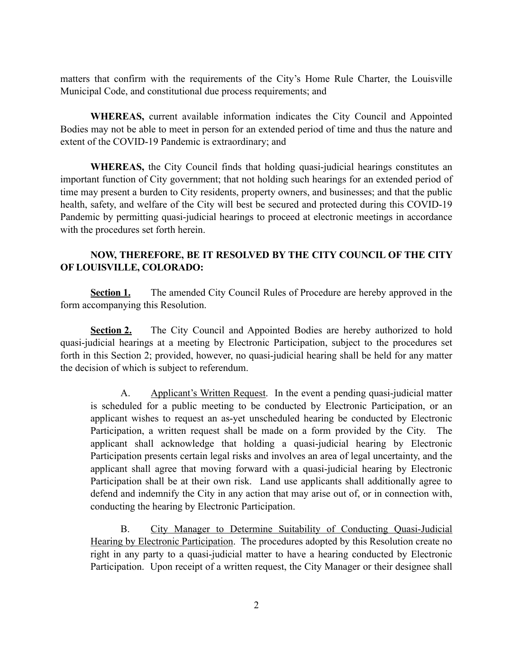matters that confirm with the requirements of the City's Home Rule Charter, the Louisville Municipal Code, and constitutional due process requirements; and

**WHEREAS,** current available information indicates the City Council and Appointed Bodies may not be able to meet in person for an extended period of time and thus the nature and extent of the COVID-19 Pandemic is extraordinary; and

**WHEREAS,** the City Council finds that holding quasi-judicial hearings constitutes an important function of City government; that not holding such hearings for an extended period of time may present a burden to City residents, property owners, and businesses; and that the public health, safety, and welfare of the City will best be secured and protected during this COVID-19 Pandemic by permitting quasi-judicial hearings to proceed at electronic meetings in accordance with the procedures set forth herein.

## **NOW, THEREFORE, BE IT RESOLVED BY THE CITY COUNCIL OF THE CITY OF LOUISVILLE, COLORADO:**

**Section 1.** The amended City Council Rules of Procedure are hereby approved in the form accompanying this Resolution.

**Section 2.** The City Council and Appointed Bodies are hereby authorized to hold quasi-judicial hearings at a meeting by Electronic Participation, subject to the procedures set forth in this Section 2; provided, however, no quasi-judicial hearing shall be held for any matter the decision of which is subject to referendum.

A. Applicant's Written Request. In the event a pending quasi-judicial matter is scheduled for a public meeting to be conducted by Electronic Participation, or an applicant wishes to request an as-yet unscheduled hearing be conducted by Electronic Participation, a written request shall be made on a form provided by the City. The applicant shall acknowledge that holding a quasi-judicial hearing by Electronic Participation presents certain legal risks and involves an area of legal uncertainty, and the applicant shall agree that moving forward with a quasi-judicial hearing by Electronic Participation shall be at their own risk. Land use applicants shall additionally agree to defend and indemnify the City in any action that may arise out of, or in connection with, conducting the hearing by Electronic Participation.

B. City Manager to Determine Suitability of Conducting Quasi-Judicial Hearing by Electronic Participation. The procedures adopted by this Resolution create no right in any party to a quasi-judicial matter to have a hearing conducted by Electronic Participation. Upon receipt of a written request, the City Manager or their designee shall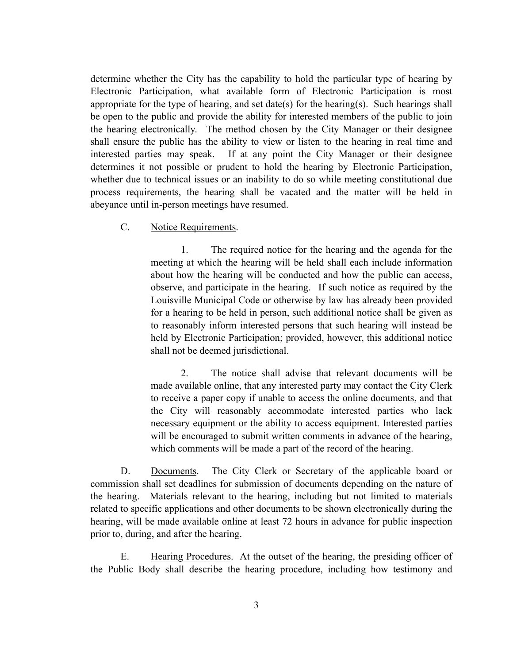determine whether the City has the capability to hold the particular type of hearing by Electronic Participation, what available form of Electronic Participation is most appropriate for the type of hearing, and set date(s) for the hearing(s). Such hearings shall be open to the public and provide the ability for interested members of the public to join the hearing electronically. The method chosen by the City Manager or their designee shall ensure the public has the ability to view or listen to the hearing in real time and interested parties may speak. If at any point the City Manager or their designee determines it not possible or prudent to hold the hearing by Electronic Participation, whether due to technical issues or an inability to do so while meeting constitutional due process requirements, the hearing shall be vacated and the matter will be held in abeyance until in-person meetings have resumed.

C. Notice Requirements.

1. The required notice for the hearing and the agenda for the meeting at which the hearing will be held shall each include information about how the hearing will be conducted and how the public can access, observe, and participate in the hearing. If such notice as required by the Louisville Municipal Code or otherwise by law has already been provided for a hearing to be held in person, such additional notice shall be given as to reasonably inform interested persons that such hearing will instead be held by Electronic Participation; provided, however, this additional notice shall not be deemed jurisdictional.

2. The notice shall advise that relevant documents will be made available online, that any interested party may contact the City Clerk to receive a paper copy if unable to access the online documents, and that the City will reasonably accommodate interested parties who lack necessary equipment or the ability to access equipment. Interested parties will be encouraged to submit written comments in advance of the hearing, which comments will be made a part of the record of the hearing.

D. Documents. The City Clerk or Secretary of the applicable board or commission shall set deadlines for submission of documents depending on the nature of the hearing. Materials relevant to the hearing, including but not limited to materials related to specific applications and other documents to be shown electronically during the hearing, will be made available online at least 72 hours in advance for public inspection prior to, during, and after the hearing.

E. Hearing Procedures. At the outset of the hearing, the presiding officer of the Public Body shall describe the hearing procedure, including how testimony and